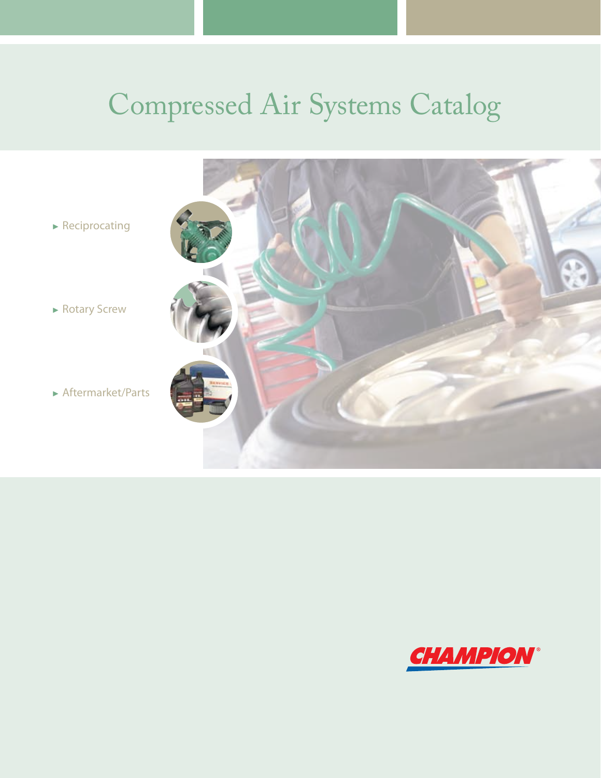# Compressed Air Systems Catalog



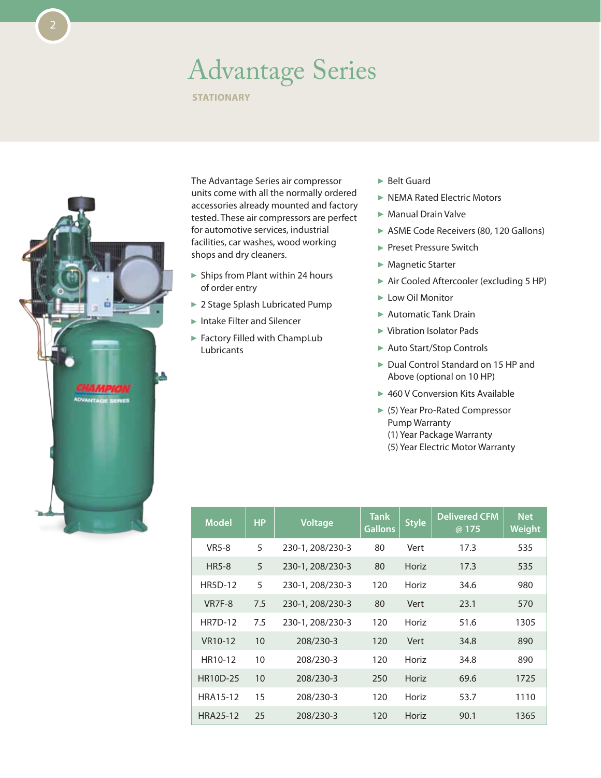### Advantage Series

**STATIONARY** 



The Advantage Series air compressor units come with all the normally ordered accessories already mounted and factory tested. These air compressors are perfect for automotive services, industrial facilities, car washes, wood working shops and dry cleaners.

- $\blacktriangleright$  Ships from Plant within 24 hours of order entry
- ▶ 2 Stage Splash Lubricated Pump
- Intake Filter and Silencer
- ▶ Factory Filled with ChampLub Lubricants
- ► Belt Guard
- ▶ NEMA Rated Electric Motors
- Manual Drain Valve
- ASME Code Receivers (80, 120 Gallons)
- Preset Pressure Switch
- ► Magnetic Starter
- Air Cooled Aftercooler (excluding 5 HP)
- ► Low Oil Monitor
- ▶ Automatic Tank Drain
- ► Vibration Isolator Pads
- ▶ Auto Start/Stop Controls
- ▶ Dual Control Standard on 15 HP and Above (optional on 10 HP)
- ▶ 460 V Conversion Kits Available
- ▶ (5) Year Pro-Rated Compressor Pump Warranty (1) Year Package Warranty (5) Year Electric Motor Warranty

| <b>Model</b>         | <b>HP</b> | <b>Voltage</b>   | <b>Tank</b><br><b>Gallons</b> | <b>Style</b> | <b>Delivered CFM</b><br>@ 175 | <b>Net</b><br>Weight |
|----------------------|-----------|------------------|-------------------------------|--------------|-------------------------------|----------------------|
| <b>VR5-8</b>         | 5         | 230-1, 208/230-3 | 80                            | Vert         | 17.3                          | 535                  |
| <b>HR5-8</b>         | 5         | 230-1, 208/230-3 | 80                            | Horiz        | 17.3                          | 535                  |
| <b>HR5D-12</b>       | 5         | 230-1, 208/230-3 | 120                           | Horiz        | 34.6                          | 980                  |
| VR7F-8               | 7.5       | 230-1, 208/230-3 | 80                            | Vert         | 23.1                          | 570                  |
| <b>HR7D-12</b>       | 7.5       | 230-1, 208/230-3 | 120                           | Horiz        | 51.6                          | 1305                 |
| VR <sub>10</sub> -12 | 10        | 208/230-3        | 120                           | Vert         | 34.8                          | 890                  |
| HR10-12              | 10        | 208/230-3        | 120                           | Horiz        | 34.8                          | 890                  |
| HR10D-25             | 10        | 208/230-3        | 250                           | Horiz        | 69.6                          | 1725                 |
| <b>HRA15-12</b>      | 15        | 208/230-3        | 120                           | Horiz        | 53.7                          | 1110                 |
| <b>HRA25-12</b>      | 25        | 208/230-3        | 120                           | Horiz        | 90.1                          | 1365                 |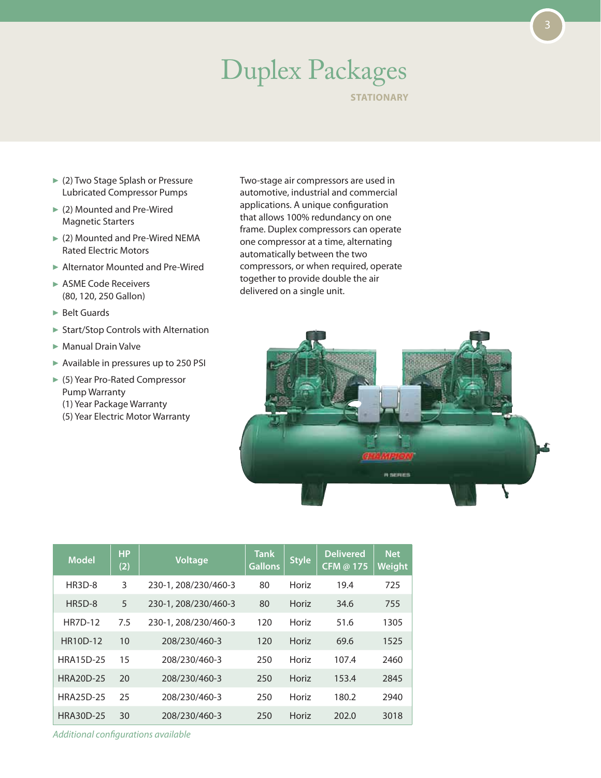# Duplex Packages

**STATIONARY** 

- ► (2) Two Stage Splash or Pressure Lubricated Compressor Pumps
- (2) Mounted and Pre-Wired Magnetic Starters
- ▶ (2) Mounted and Pre-Wired NEMA Rated Electric Motors
- ▶ Alternator Mounted and Pre-Wired
- ► ASME Code Receivers (80, 120, 250 Gallon)
- ▶ Belt Guards
- ▶ Start/Stop Controls with Alternation
- Manual Drain Valve
- $\triangleright$  Available in pressures up to 250 PSI
- (5) Year Pro-Rated Compressor Pump Warranty
	- (1) Year Package Warranty
	- (5) Year Electric Motor Warranty





| <b>Model</b>     | <b>HP</b><br>(2) | <b>Voltage</b>       | <b>Tank</b><br><b>Gallons</b> | <b>Style</b> | <b>Delivered</b><br><b>CFM @ 175</b> | <b>Net</b><br>Weight |
|------------------|------------------|----------------------|-------------------------------|--------------|--------------------------------------|----------------------|
| HR3D-8           | 3                | 230-1, 208/230/460-3 | 80                            | Horiz        | 19.4                                 | 725                  |
| $HR5D-8$         | 5                | 230-1, 208/230/460-3 | 80                            | Horiz        | 34.6                                 | 755                  |
| <b>HR7D-12</b>   | 7.5              | 230-1, 208/230/460-3 | 120                           | Horiz        | 51.6                                 | 1305                 |
| <b>HR10D-12</b>  | 10               | 208/230/460-3        | 120                           | Horiz        | 69.6                                 | 1525                 |
| <b>HRA15D-25</b> | 15               | 208/230/460-3        | 250                           | Horiz        | 107.4                                | 2460                 |
| <b>HRA20D-25</b> | 20               | 208/230/460-3        | 250                           | Horiz        | 153.4                                | 2845                 |
| <b>HRA25D-25</b> | 25               | 208/230/460-3        | 250                           | Horiz        | 180.2                                | 2940                 |
| <b>HRA30D-25</b> | 30               | 208/230/460-3        | 250                           | Horiz        | 202.0                                | 3018                 |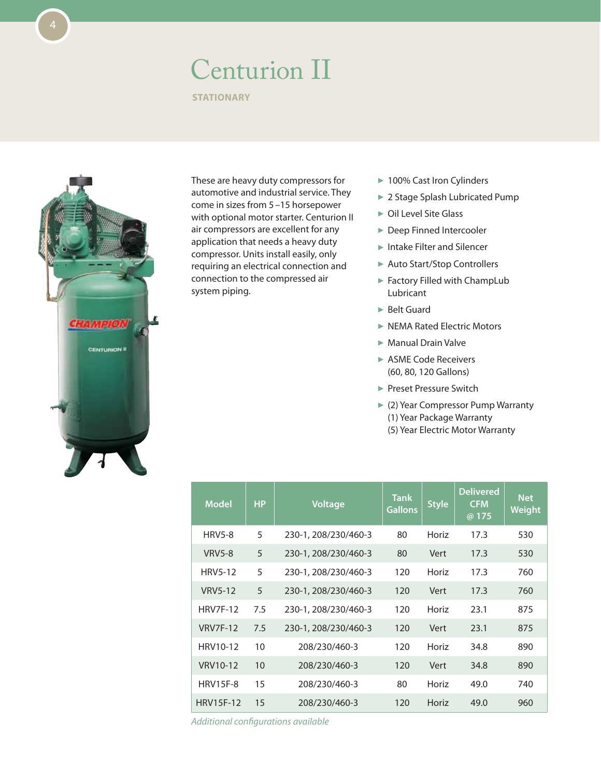#### Centurion II

**STATIONARY** 



These are heavy duty compressors for automotive and industrial service. They come in sizes from 5–15 horsepower with optional motor starter. Centurion II air compressors are excellent for any application that needs a heavy duty compressor. Units install easily, only requiring an electrical connection and connection to the compressed air system piping.

- ▶ 100% Cast Iron Cylinders
- ▶ 2 Stage Splash Lubricated Pump
- ▶ Oil Level Site Glass
- ▶ Deep Finned Intercooler
- ► Intake Filter and Silencer
- ▶ Auto Start/Stop Controllers
- ▶ Factory Filled with ChampLub Lubricant
- ► Belt Guard
- **NEMA Rated Electric Motors**
- Manual Drain Valve
- ▶ ASME Code Receivers (60, 80, 120 Gallons)
- Preset Pressure Switch
- ▶ (2) Year Compressor Pump Warranty (1) Year Package Warranty (5) Year Electric Motor Warranty

| <b>Model</b>     | <b>HP</b> | <b>Voltage</b>       | <b>Tank</b><br><b>Gallons</b> | <b>Style</b> | <b>Delivered</b><br><b>CFM</b><br>@ 175 | <b>Net</b><br>Weight |
|------------------|-----------|----------------------|-------------------------------|--------------|-----------------------------------------|----------------------|
| <b>HRV5-8</b>    | 5         | 230-1, 208/230/460-3 | 80                            | Horiz        | 17.3                                    | 530                  |
| <b>VRV5-8</b>    | 5         | 230-1, 208/230/460-3 | 80                            | Vert         | 17.3                                    | 530                  |
| <b>HRV5-12</b>   | 5         | 230-1, 208/230/460-3 | 120                           | Horiz        | 17.3                                    | 760                  |
| <b>VRV5-12</b>   | 5         | 230-1, 208/230/460-3 | 120                           | Vert         | 17.3                                    | 760                  |
| <b>HRV7F-12</b>  | 7.5       | 230-1, 208/230/460-3 | 120                           | Horiz        | 23.1                                    | 875                  |
| <b>VRV7F-12</b>  | 7.5       | 230-1, 208/230/460-3 | 120                           | Vert         | 23.1                                    | 875                  |
| HRV10-12         | 10        | 208/230/460-3        | 120                           | Horiz        | 34.8                                    | 890                  |
| VRV10-12         | 10        | 208/230/460-3        | 120                           | Vert         | 34.8                                    | 890                  |
| <b>HRV15F-8</b>  | 15        | 208/230/460-3        | 80                            | Horiz        | 49.0                                    | 740                  |
| <b>HRV15F-12</b> | 15        | 208/230/460-3        | 120                           | Horiz        | 49.0                                    | 960                  |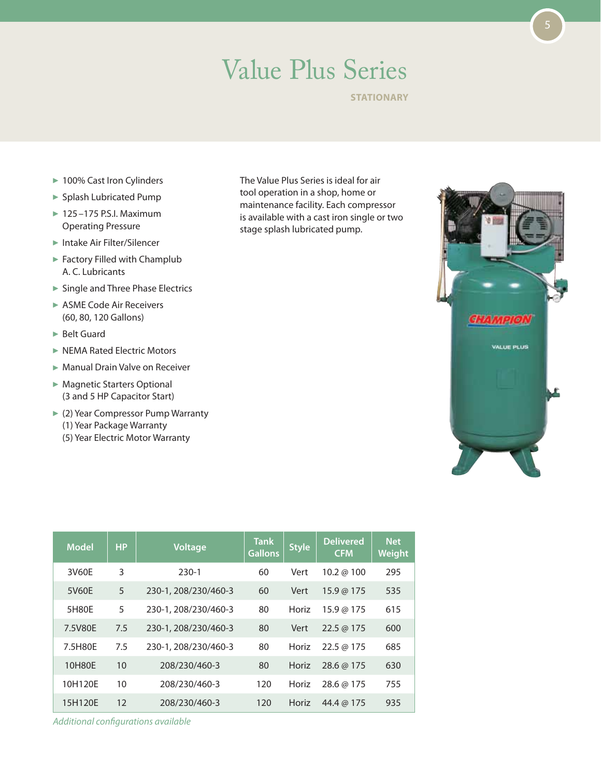### Value Plus Series

**STATIONARY** 

- ▶ 100% Cast Iron Cylinders
- Splash Lubricated Pump
- $\blacktriangleright$  125-175 P.S.I. Maximum Operating Pressure
- Intake Air Filter/Silencer
- Factory Filled with Champlub A. C. Lubricants
- ▶ Single and Three Phase Electrics
- ▶ ASME Code Air Receivers (60, 80, 120 Gallons)
- ▶ Belt Guard
- ▶ NEMA Rated Electric Motors
- Manual Drain Valve on Receiver
- ▶ Magnetic Starters Optional (3 and 5 HP Capacitor Start)
- ► (2) Year Compressor Pump Warranty (1) Year Package Warranty (5) Year Electric Motor Warranty

The Value Plus Series is ideal for air tool operation in a shop, home or maintenance facility. Each compressor is available with a cast iron single or two stage splash lubricated pump.



| <b>Model</b> | <b>HP</b> | <b>Voltage</b>       | <b>Tank</b><br><b>Gallons</b> | <b>Style</b> | <b>Delivered</b><br><b>CFM</b> | <b>Net</b><br>Weight |
|--------------|-----------|----------------------|-------------------------------|--------------|--------------------------------|----------------------|
| 3V60E        | 3         | $230-1$              | 60                            | Vert         | 10.2 @ $100$                   | 295                  |
| 5V60E        | 5         | 230-1, 208/230/460-3 | 60                            | Vert         | 15.9@175                       | 535                  |
| 5H80E        | 5         | 230-1, 208/230/460-3 | 80                            | Horiz        | 15.9 @ 175                     | 615                  |
| 7.5V80E      | 7.5       | 230-1, 208/230/460-3 | 80                            | Vert         | $22.5 \omega 175$              | 600                  |
| 7.5H80E      | 7.5       | 230-1, 208/230/460-3 | 80                            | Horiz        | $22.5 \omega 175$              | 685                  |
| 10H80E       | 10        | 208/230/460-3        | 80                            | Horiz        | 28.6 @ 175                     | 630                  |
| 10H120E      | 10        | 208/230/460-3        | 120                           | Horiz        | 28.6 @ 175                     | 755                  |
| 15H120E      | 12        | 208/230/460-3        | 120                           | Horiz        | 44.4 @ 175                     | 935                  |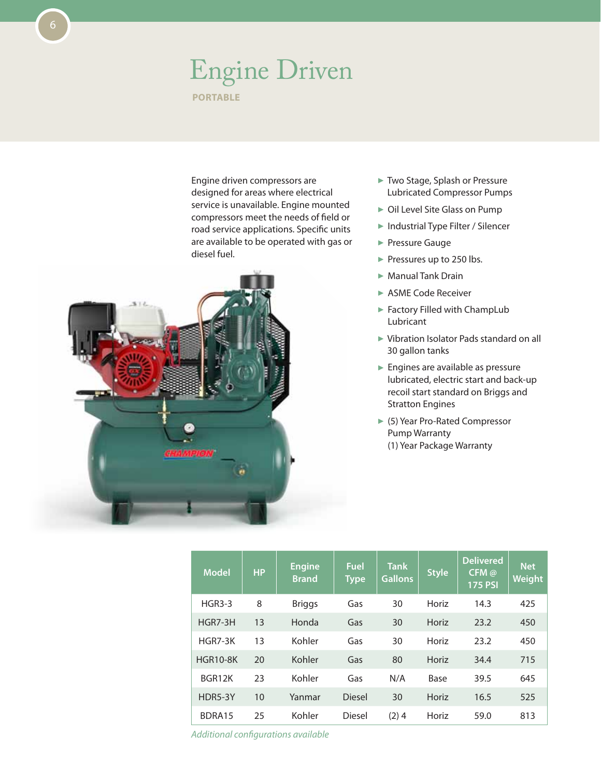#### Engine Driven **Portable**

Engine driven compressors are designed for areas where electrical service is unavailable. Engine mounted compressors meet the needs of field or road service applications. Specific units are available to be operated with gas or diesel fuel.



- ► Two Stage, Splash or Pressure Lubricated Compressor Pumps
- ▶ Oil Level Site Glass on Pump
- ▶ Industrial Type Filter / Silencer
- **Pressure Gauge**
- Pressures up to 250 lbs.
- ▶ Manual Tank Drain
- ▶ ASME Code Receiver
- Factory Filled with ChampLub Lubricant
- ► Vibration Isolator Pads standard on all 30 gallon tanks
- **Engines are available as pressure** lubricated, electric start and back-up recoil start standard on Briggs and Stratton Engines
- (5) Year Pro-Rated Compressor Pump Warranty (1) Year Package Warranty

| <b>Model</b>    | <b>HP</b> | <b>Engine</b><br><b>Brand</b> | <b>Fuel</b><br><b>Type</b> | <b>Tank</b><br><b>Gallons</b> | <b>Style</b> | <b>Delivered</b><br>CFM@<br><b>175 PSI</b> | <b>Net</b><br>Weight |
|-----------------|-----------|-------------------------------|----------------------------|-------------------------------|--------------|--------------------------------------------|----------------------|
| <b>HGR3-3</b>   | 8         | <b>Briggs</b>                 | Gas                        | 30                            | Horiz        | 14.3                                       | 425                  |
| HGR7-3H         | 13        | Honda                         | Gas                        | 30                            | Horiz        | 23.2                                       | 450                  |
| HGR7-3K         | 13        | Kohler                        | Gas                        | 30                            | Horiz        | 23.2                                       | 450                  |
| <b>HGR10-8K</b> | 20        | Kohler                        | Gas                        | 80                            | Horiz        | 34.4                                       | 715                  |
| BGR12K          | 23        | Kohler                        | Gas                        | N/A                           | Base         | 39.5                                       | 645                  |
| HDR5-3Y         | 10        | Yanmar                        | <b>Diesel</b>              | 30                            | Horiz        | 16.5                                       | 525                  |
| BDRA15          | 25        | Kohler                        | <b>Diesel</b>              | $(2)$ 4                       | Horiz        | 59.0                                       | 813                  |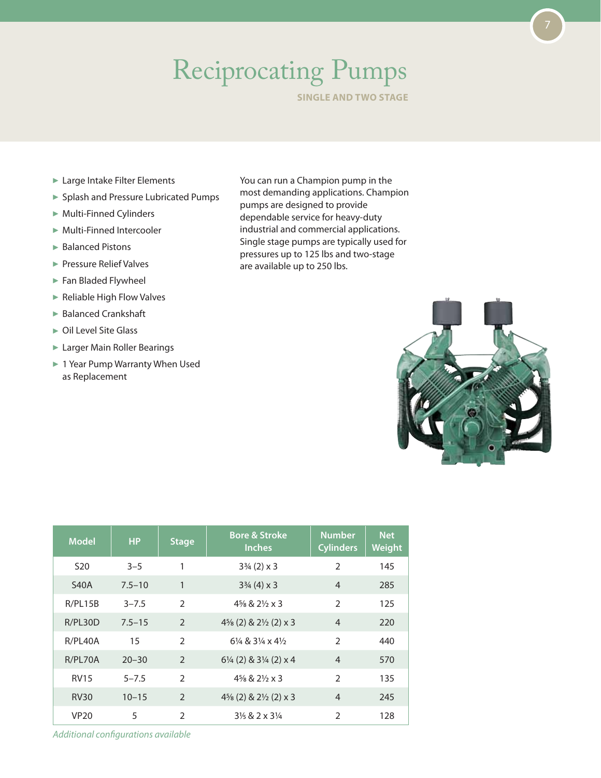# Reciprocating Pumps

**Single and Two stage**

- ► Large Intake Filter Elements
- Splash and Pressure Lubricated Pumps
- Multi-Finned Cylinders
- Multi-Finned Intercooler
- ▶ Balanced Pistons
- **Pressure Relief Valves**
- Fan Bladed Flywheel
- ▶ Reliable High Flow Valves
- ▶ Balanced Crankshaft
- ▶ Oil Level Site Glass
- ► Larger Main Roller Bearings
- ▶ 1 Year Pump Warranty When Used as Replacement

You can run a Champion pump in the most demanding applications. Champion pumps are designed to provide dependable service for heavy-duty industrial and commercial applications. Single stage pumps are typically used for pressures up to 125 lbs and two-stage are available up to 250 lbs.



| <b>Model</b>    | <b>HP</b>  | <b>Stage</b>   | <b>Bore &amp; Stroke</b><br><b>Inches</b>        | <b>Number</b><br><b>Cylinders</b> | <b>Net</b><br>Weight |
|-----------------|------------|----------------|--------------------------------------------------|-----------------------------------|----------------------|
| S <sub>20</sub> | $3 - 5$    | 1              | $3\frac{3}{4}$ (2) x 3                           | $\mathfrak{D}$                    | 145                  |
| <b>S40A</b>     | $7.5 - 10$ | 1              | $3\frac{3}{4}$ (4) x 3                           | $\overline{4}$                    | 285                  |
| R/PL15B         | $3 - 7.5$  | $\mathcal{P}$  | $4\frac{5}{8}$ & $2\frac{1}{2}$ x 3              | $\mathfrak{D}$                    | 125                  |
| R/PL30D         | $7.5 - 15$ | $\mathcal{P}$  | $4\frac{5}{8}$ (2) & $2\frac{1}{2}$ (2) x 3      | $\overline{4}$                    | 220                  |
| R/PL40A         | 15         | $\overline{2}$ | $6\frac{1}{4}$ & $3\frac{1}{4}$ x $4\frac{1}{2}$ | $\overline{2}$                    | 440                  |
| R/PL70A         | $20 - 30$  | $\mathcal{P}$  | 61/4 (2) & 31/4 (2) x 4                          | $\overline{4}$                    | 570                  |
| <b>RV15</b>     | $5 - 7.5$  | $\mathcal{P}$  | $4\frac{5}{8}$ & $2\frac{1}{2}$ x 3              | $\mathfrak{D}$                    | 135                  |
| <b>RV30</b>     | $10 - 15$  | $\overline{2}$ | $4\frac{5}{8}$ (2) & $2\frac{1}{2}$ (2) x 3      | $\overline{4}$                    | 245                  |
| <b>VP20</b>     | 5          | $\overline{2}$ | $3\frac{1}{6}$ & 2 x 3 $\frac{1}{4}$             | $\mathfrak{D}$                    | 128                  |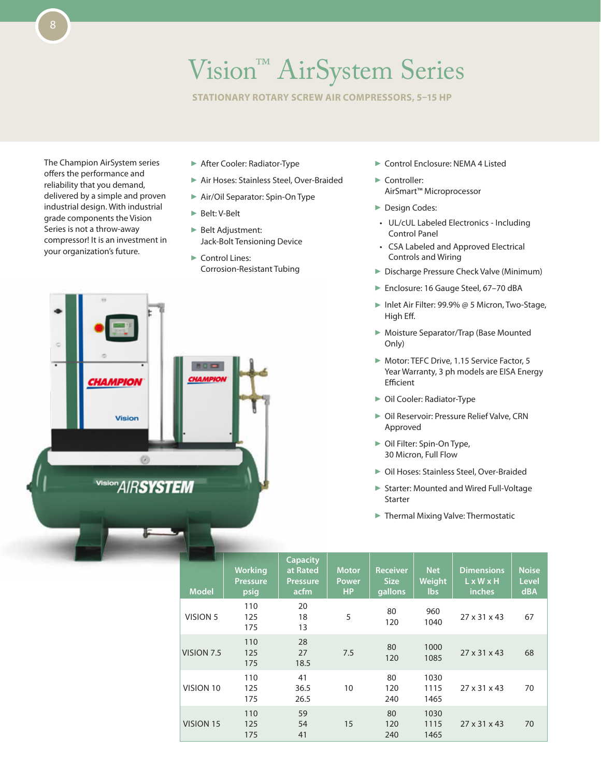### Vision™ AirSystem Series

**Stationary Rotary screw air compressors, 5–15 hp**

The Champion AirSystem series offers the performance and reliability that you demand, delivered by a simple and proven industrial design. With industrial grade components the Vision Series is not a throw-away compressor! It is an investment in your organization's future.

- After Cooler: Radiator-Type
- Air Hoses: Stainless Steel, Over-Braided
- ▶ Air/Oil Separator: Spin-On Type
- ▶ Belt: V-Belt
- **Belt Adjustment:** Jack-Bolt Tensioning Device
- Control Lines: Corrosion-Resistant Tubing
- ▶ Control Enclosure: NEMA 4 Listed
- Controller: AirSmart™ Microprocessor
- Design Codes:
- • UL/cUL Labeled Electronics Including Control Panel
- • CSA Labeled and Approved Electrical Controls and Wiring
- **Discharge Pressure Check Valve (Minimum)**
- ► Enclosure: 16 Gauge Steel, 67-70 dBA
- ▶ Inlet Air Filter: 99.9% @ 5 Micron, Two-Stage, High Eff.
- Moisture Separator/Trap (Base Mounted Only)
- Motor: TEFC Drive, 1.15 Service Factor, 5 Year Warranty, 3 ph models are EISA Energy Efficient
- ▶ Oil Cooler: Radiator-Type
- ▶ Oil Reservoir: Pressure Relief Valve, CRN Approved
- ▶ Oil Filter: Spin-On Type, 30 Micron, Full Flow
- ▶ Oil Hoses: Stainless Steel, Over-Braided
- ▶ Starter: Mounted and Wired Full-Voltage Starter
- Thermal Mixing Valve: Thermostatic

| <b>Model</b> | <b>Working</b><br><b>Pressure</b><br>psig | <b>Capacity</b><br>at Rated<br><b>Pressure</b><br>acfm | <b>Motor</b><br>Power<br><b>HP</b> | <b>Receiver</b><br><b>Size</b><br>gallons | <b>Net</b><br>Weight<br><b>lbs</b> | <b>Dimensions</b><br>$L \times W \times H$<br>inches | <b>Noise</b><br><b>Level</b><br><b>dBA</b> |
|--------------|-------------------------------------------|--------------------------------------------------------|------------------------------------|-------------------------------------------|------------------------------------|------------------------------------------------------|--------------------------------------------|
| VISION 5     | 110<br>125<br>175                         | 20<br>18<br>13                                         | 5                                  | 80<br>120                                 | 960<br>1040                        | 27 x 31 x 43                                         | 67                                         |
| VISION 7.5   | 110<br>125<br>175                         | 28<br>27<br>18.5                                       | 7.5                                | 80<br>120                                 | 1000<br>1085                       | $27 \times 31 \times 43$                             | 68                                         |
| VISION 10    | 110<br>125<br>175                         | 41<br>36.5<br>26.5                                     | 10                                 | 80<br>120<br>240                          | 1030<br>1115<br>1465               | 27 x 31 x 43                                         | 70                                         |
| VISION 15    | 110<br>125<br>175                         | 59<br>54<br>41                                         | 15                                 | 80<br>120<br>240                          | 1030<br>1115<br>1465               | $27 \times 31 \times 43$                             | 70                                         |

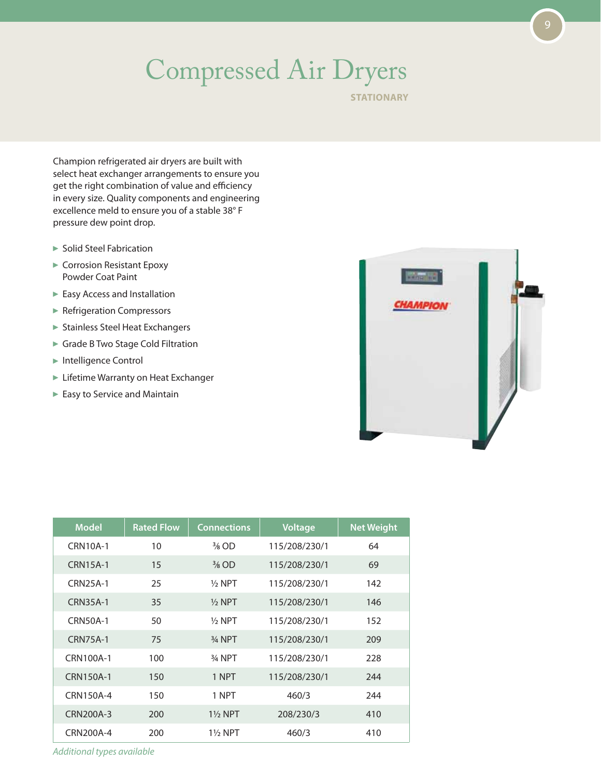## Compressed Air Dryers

**STATIONARY** 

Champion refrigerated air dryers are built with select heat exchanger arrangements to ensure you get the right combination of value and efficiency in every size. Quality components and engineering excellence meld to ensure you of a stable 38° F pressure dew point drop.

- ▶ Solid Steel Fabrication
- ► Corrosion Resistant Epoxy Powder Coat Paint
- Easy Access and Installation
- **Refrigeration Compressors**
- Stainless Steel Heat Exchangers
- ► Grade B Two Stage Cold Filtration
- ▶ Intelligence Control
- **Lifetime Warranty on Heat Exchanger**
- Easy to Service and Maintain



| <b>Model</b>     | <b>Rated Flow</b> | <b>Connections</b>  | Voltage       | <b>Net Weight</b> |
|------------------|-------------------|---------------------|---------------|-------------------|
| <b>CRN10A-1</b>  | 10                | $\frac{3}{8}$ OD    | 115/208/230/1 | 64                |
| <b>CRN15A-1</b>  | 15                | $\frac{3}{8}$ OD    | 115/208/230/1 | 69                |
| <b>CRN25A-1</b>  | 25                | $1/2$ NPT           | 115/208/230/1 | 142               |
| <b>CRN35A-1</b>  | 35                | $\frac{1}{2}$ NPT   | 115/208/230/1 | 146               |
| <b>CRN50A-1</b>  | 50                | $1/2$ NPT           | 115/208/230/1 | 152               |
| <b>CRN75A-1</b>  | 75                | 3/ <sub>4</sub> NPT | 115/208/230/1 | 209               |
| CRN100A-1        | 100               | 3/ <sub>4</sub> NPT | 115/208/230/1 | 228               |
| <b>CRN150A-1</b> | 150               | 1 NPT               | 115/208/230/1 | 244               |
| CRN150A-4        | 150               | 1 NPT               | 460/3         | 244               |
| CRN200A-3        | 200               | $1\%$ NPT           | 208/230/3     | 410               |
| CRN200A-4        | 200               | $1\frac{1}{2}$ NPT  | 460/3         | 410               |

*Additional types available*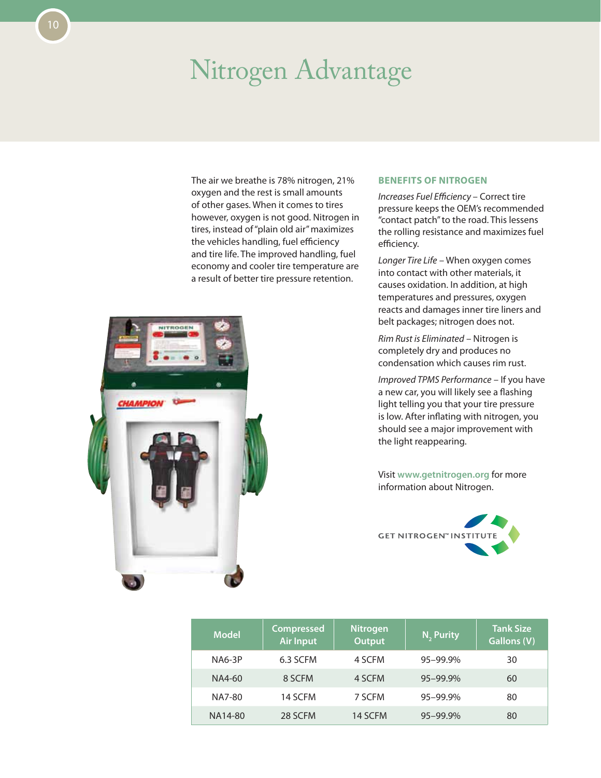#### Nitrogen Advantage

The air we breathe is 78% nitrogen, 21% oxygen and the rest is small amounts of other gases. When it comes to tires however, oxygen is not good. Nitrogen in tires, instead of "plain old air" maximizes the vehicles handling, fuel efficiency and tire life. The improved handling, fuel economy and cooler tire temperature are a result of better tire pressure retention.



#### **Benefits of Nitrogen**

*Increases Fuel Efficiency* – Correct tire pressure keeps the OEM's recommended "contact patch" to the road. This lessens the rolling resistance and maximizes fuel efficiency.

*Longer Tire Life* – When oxygen comes into contact with other materials, it causes oxidation. In addition, at high temperatures and pressures, oxygen reacts and damages inner tire liners and belt packages; nitrogen does not.

*Rim Rust is Eliminated* – Nitrogen is completely dry and produces no condensation which causes rim rust.

*Improved TPMS Performance* – If you have a new car, you will likely see a flashing light telling you that your tire pressure is low. After inflating with nitrogen, you should see a major improvement with the light reappearing.

Visit **www.getnitrogen.org** for more information about Nitrogen.



| <b>Model</b>  | <b>Compressed</b><br><b>Air Input</b> | <b>Nitrogen</b><br><b>Output</b> | N <sub>2</sub> Purity | <b>Tank Size</b><br><b>Gallons (V)</b> |
|---------------|---------------------------------------|----------------------------------|-----------------------|----------------------------------------|
| <b>NA6-3P</b> | 6.3 SCFM                              | 4 SCFM                           | 95-99.9%              | 30                                     |
| NA4-60        | 8 SCFM                                | 4 SCFM                           | 95-99.9%              | 60                                     |
| NA7-80        | 14 SCFM                               | 7 SCFM                           | 95-99.9%              | 80                                     |
| NA14-80       | 28 SCFM                               | 14 SCFM                          | 95-99.9%              | 80                                     |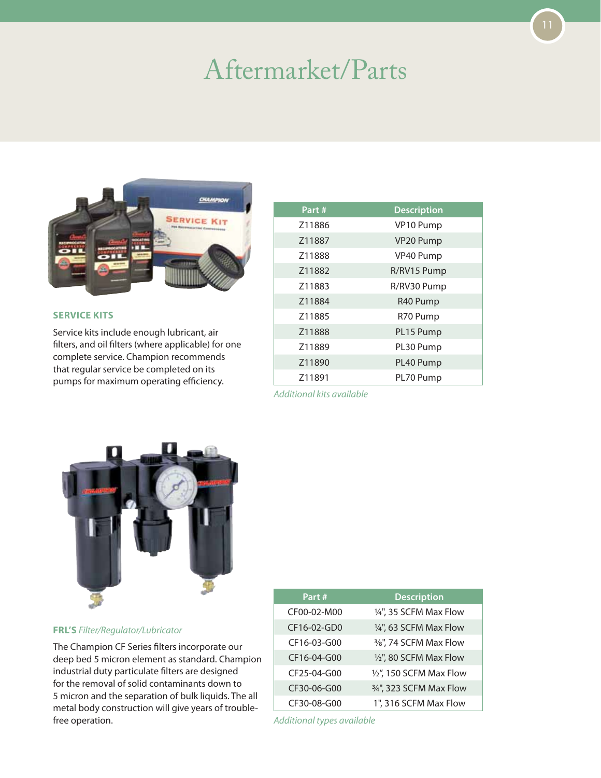#### Aftermarket/Parts



#### **Service Kits**

Service kits include enough lubricant, air filters, and oil filters (where applicable) for one complete service. Champion recommends that regular service be completed on its pumps for maximum operating efficiency.

| Part#  | <b>Description</b> |
|--------|--------------------|
| Z11886 | VP10 Pump          |
| Z11887 | VP20 Pump          |
| Z11888 | VP40 Pump          |
| Z11882 | R/RV15 Pump        |
| Z11883 | R/RV30 Pump        |
| Z11884 | R40 Pump           |
| Z11885 | R70 Pump           |
| Z11888 | PL15 Pump          |
| Z11889 | PL30 Pump          |
| Z11890 | PL40 Pump          |
| Z11891 | PL70 Pump          |

*Additional kits available*



**FRL's** *Filter/Regulator/Lubricator*

The Champion CF Series filters incorporate our deep bed 5 micron element as standard. Champion industrial duty particulate filters are designed for the removal of solid contaminants down to 5 micron and the separation of bulk liquids. The all metal body construction will give years of troublefree operation.

| Part#       | <b>Description</b>      |
|-------------|-------------------------|
| CF00-02-M00 | 1/4", 35 SCFM Max Flow  |
| CF16-02-GD0 | 1/4", 63 SCFM Max Flow  |
| CF16-03-G00 | 3/8", 74 SCFM Max Flow  |
| CF16-04-G00 | 1/2", 80 SCFM Max Flow  |
| CF25-04-G00 | 1/2", 150 SCFM Max Flow |
| CF30-06-G00 | 3/4", 323 SCFM Max Flow |
| CF30-08-G00 | 1", 316 SCFM Max Flow   |

*Additional types available*